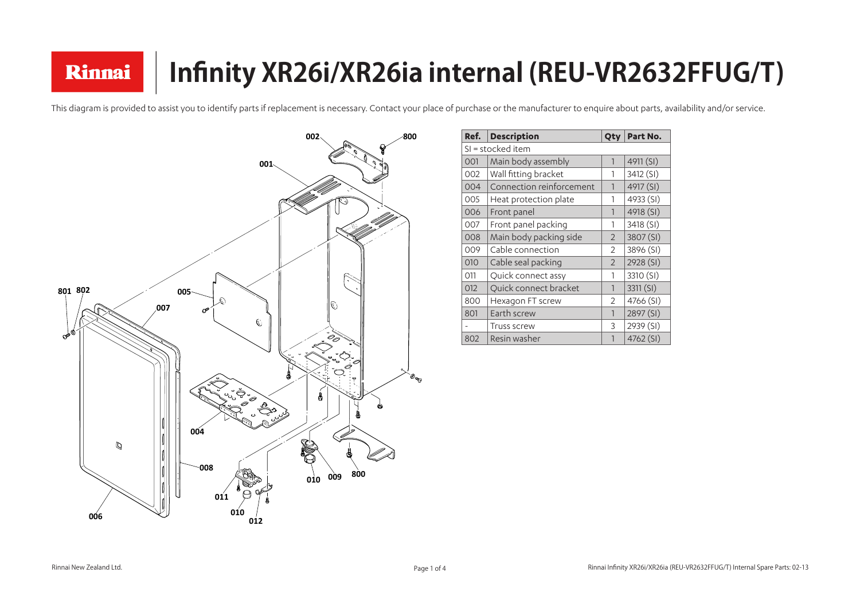This diagram is provided to assist you to identify parts if replacement is necessary. Contact your place of purchase or the manufacturer to enquire about parts, availability and/or service.

# **Infinity XR26i/XR26ia internal (REU-VR2632FFUG/T)**

| Ref.              | <b>Description</b>       |                | Part No.  |  |
|-------------------|--------------------------|----------------|-----------|--|
| SI = stocked item |                          |                |           |  |
| 001               | Main body assembly       | 1              | 4911 (SI) |  |
| 002               | Wall fitting bracket     | 1              | 3412 (SI) |  |
| 004               | Connection reinforcement | 1              | 4917 (SI) |  |
| 005               | Heat protection plate    | 1              | 4933 (SI) |  |
| 006               | Front panel              | $\mathbf{1}$   | 4918 (SI) |  |
| 007               | Front panel packing      | 1              | 3418 (SI) |  |
| 008               | Main body packing side   | 2              | 3807 (SI) |  |
| 009               | Cable connection         | $\overline{2}$ | 3896 (SI) |  |
| 010               | Cable seal packing       | $\overline{2}$ | 2928 (SI) |  |
| 011               | Quick connect assy       | 1              | 3310 (SI) |  |
| 012               | Quick connect bracket    | 1              | 3311(SI)  |  |
| 800               | Hexagon FT screw         | 2              | 4766 (SI) |  |
| 801               | Earth screw              | $\mathbf{1}$   | 2897 (SI) |  |
|                   | <b>Truss screw</b>       | 3              | 2939 (SI) |  |
| 802               | Resin washer             | 1              | 4762 (SI) |  |

Rinnai

| No                     |
|------------------------|
|                        |
| SI)                    |
| $\frac{S}{I}$          |
| SI)                    |
| SI                     |
| SI)                    |
| SI)                    |
| SI                     |
| $\overline{\text{SI}}$ |
| $\frac{1}{\sqrt{5}}$   |
| SI)                    |
| $\frac{1}{2}$          |
| ſ.<br>SI)              |
| $\overline{\text{SI}}$ |
| $\overline{S}$         |
| $\overline{S}$         |

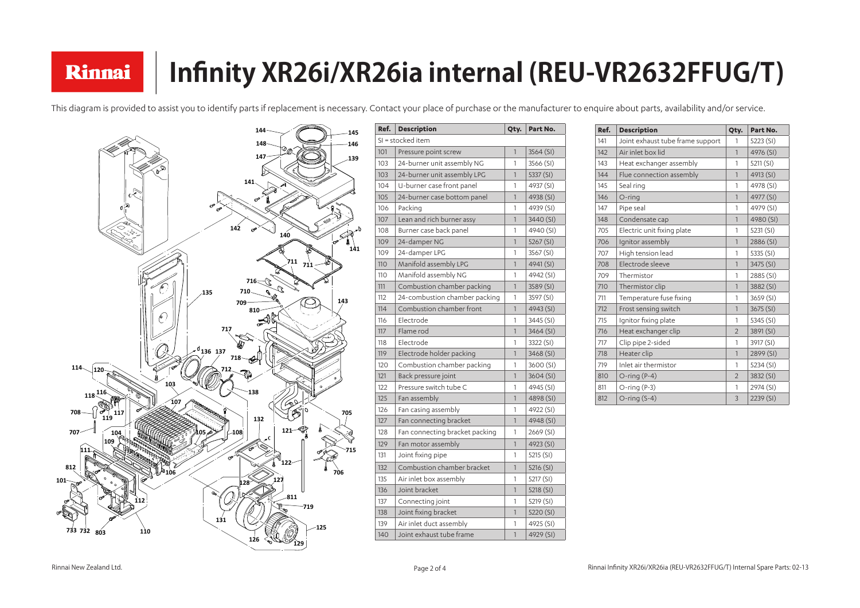### **Infinity XR26i/XR26ia internal (REU-VR2632FFUG/T)** Rinnai

This diagram is provided to assist you to identify parts if replacement is necessary. Contact your place of purchase or the manufacturer to enquire about parts, availability and/or service.

| Ref. | <b>Description</b>             | Qty.         | Part No.  |  |  |
|------|--------------------------------|--------------|-----------|--|--|
|      | SI = stocked item              |              |           |  |  |
| 101  | Pressure point screw           | $\mathbf{1}$ | 3564 (SI) |  |  |
| 103  | 24-burner unit assembly NG     | 1            | 3566 (SI) |  |  |
| 103  | 24-burner unit assembly LPG    | $\mathbf{1}$ | 5337 (SI) |  |  |
| 104  | U-burner case front panel      | 1            | 4937 (SI) |  |  |
| 105  | 24-burner case bottom panel    | 1            | 4938 (SI) |  |  |
| 106  | Packing                        | 1            | 4939 (SI) |  |  |
| 107  | Lean and rich burner assy      | $\mathbf{1}$ | 3440 (SI) |  |  |
| 108  | Burner case back panel         | 1            | 4940 (SI) |  |  |
| 109  | 24-damper NG                   | $\mathbf{1}$ | 5267 (SI) |  |  |
| 109  | 24-damper LPG                  | 1            | 3567 (SI) |  |  |
| 110  | Manifold assembly LPG          | $\mathbf{1}$ | 4941 (SI) |  |  |
| 110  | Manifold assembly NG           | 1            | 4942 (SI) |  |  |
| 111  | Combustion chamber packing     | $\mathbf{1}$ | 3589 (SI) |  |  |
| 112  | 24-combustion chamber packing  | 1            | 3597 (SI) |  |  |
| 114  | Combustion chamber front       | 1            | 4943 (SI) |  |  |
| 116  | Electrode                      | 1            | 3445 (SI) |  |  |
| 117  | Flame rod                      | $\mathbb{1}$ | 3464 (SI) |  |  |
| 118  | Electrode                      | 1            | 3322 (SI) |  |  |
| 119  | Electrode holder packing       | $\mathbf{1}$ | 3468 (SI) |  |  |
| 120  | Combustion chamber packing     | 1            | 3600 (SI) |  |  |
| 121  | Back pressure joint            | $\mathbf{1}$ | 3604(SI)  |  |  |
| 122  | Pressure switch tube C         | 1            | 4945 (SI) |  |  |
| 125  | Fan assembly                   | $\mathbf{1}$ | 4898 (SI) |  |  |
| 126  | Fan casing assembly            | 1            | 4922 (SI) |  |  |
| 127  | Fan connecting bracket         | 1            | 4948 (SI) |  |  |
| 128  | Fan connecting bracket packing | 1            | 2669 (SI) |  |  |
| 129  | Fan motor assembly             | $\mathbf{1}$ | 4923 (SI) |  |  |
| 131  | Joint fixing pipe              | 1            | 5215 (SI) |  |  |
| 132  | Combustion chamber bracket     | $\mathbf{1}$ | 5216 (SI) |  |  |
| 135  | Air inlet box assembly         | 1            | 5217 (SI) |  |  |
| 136  | Joint bracket                  | 1            | 5218 (SI) |  |  |
| 137  | Connecting joint               | 1            | 5219 (SI) |  |  |
| 138  | Joint fixing bracket           | 1            | 5220 (SI) |  |  |
| 139  | Air inlet duct assembly        | 1            | 4925 (SI) |  |  |
| 140  | Joint exhaust tube frame       | $\mathbf{1}$ | 4929 (SI) |  |  |

| Ref. | <b>Description</b>               | Qty.           | Part No.  |
|------|----------------------------------|----------------|-----------|
| 141  | Joint exhaust tube frame support | $\mathbf{1}$   | 5223 (SI) |
| 142  | Air inlet box lid                | $\mathbf{1}$   | 4976 (SI) |
| 143  | Heat exchanger assembly          | 1              | 5211 (SI) |
| 144  | Flue connection assembly         | $\mathbf{1}$   | 4913 (SI) |
| 145  | Seal ring                        | 1              | 4978 (SI) |
| 146  | O-ring                           | $\mathbf{1}$   | 4977 (SI) |
| 147  | Pipe seal                        | 1              | 4979 (SI) |
| 148  | Condensate cap                   | $\mathbf{1}$   | 4980 (SI) |
| 705  | Electric unit fixing plate       | 1              | 5231 (SI) |
| 706  | Ignitor assembly                 | $\mathbf{1}$   | 2886 (SI) |
| 707  | High tension lead                | 1              | 5335 (SI) |
| 708  | Electrode sleeve                 | $\mathbf{1}$   | 3475 (SI) |
| 709  | Thermistor                       | 1              | 2885 (SI) |
| 710  | Thermistor clip                  | $\mathbf{1}$   | 3882 (SI) |
| 711  | Temperature fuse fixing          | 1              | 3659 (SI) |
| 712  | Frost sensing switch             | $\mathbf{1}$   | 3675 (SI) |
| 715  | Ignitor fixing plate             | $\mathbf{1}$   | 5345 (SI) |
| 716  | Heat exchanger clip              | $\mathfrak{D}$ | 3891 (SI) |
| 717  | Clip pipe 2-sided                | 1              | 3917 (SI) |
| 718  | Heater clip                      | $\mathbf{1}$   | 2899 (SI) |
| 719  | Inlet air thermistor             | 1              | 5234 (SI) |
| 810  | $O$ -ring $(P-4)$                | $\mathfrak{D}$ | 3832 (SI) |
| 811  | $O$ -ring $(P-3)$                | $\mathbf{1}$   | 2974 (SI) |
| 812  | O-ring $(S-4)$                   | 3              | 2239 (SI) |

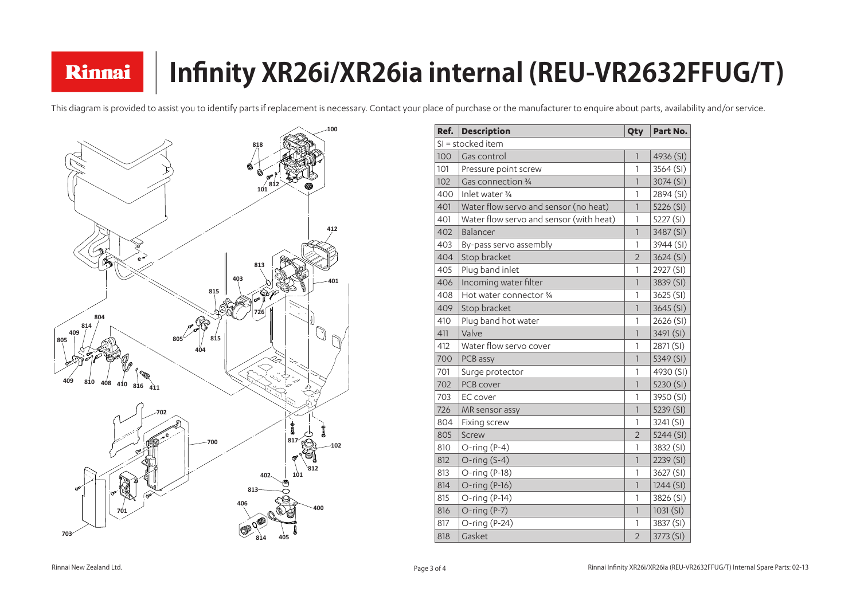### **Infinity XR26i/XR26ia internal (REU-VR2632FFUG/T)** Rinnai

This diagram is provided to assist you to identify parts if replacement is necessary. Contact your place of purchase or the manufacturer to enquire about parts, availability and/or service.

| Ref. | <b>Description</b>                      | Qty                      | Part No.  |
|------|-----------------------------------------|--------------------------|-----------|
|      | SI = stocked item                       |                          |           |
| 100  | Gas control                             | $\overline{\phantom{a}}$ | 4936 (SI) |
| 101  | Pressure point screw                    | 1                        | 3564 (SI) |
| 102  | Gas connection 3/4                      | $\mathsf{1}$             | 3074 (SI) |
| 400  | Inlet water 3/4                         | 1                        | 2894 (SI) |
| 401  | Water flow servo and sensor (no heat)   | $\overline{1}$           | 5226 (SI) |
| 401  | Water flow servo and sensor (with heat) | 1                        | 5227 (SI) |
| 402  | Balancer                                | $\mathbf{1}$             | 3487 (SI) |
| 403  | By-pass servo assembly                  | 1                        | 3944 (SI) |
| 404  | Stop bracket                            | $\overline{2}$           | 3624 (SI) |
| 405  | Plug band inlet                         | 1                        | 2927 (SI) |
| 406  | Incoming water filter                   | $\overline{\phantom{a}}$ | 3839 (SI) |
| 408  | Hot water connector 3/4                 | 1                        | 3625 (SI) |
| 409  | Stop bracket                            | $\overline{1}$           | 3645 (SI) |
| 410  | Plug band hot water                     | 1                        | 2626 (SI) |
| 411  | Valve                                   | $\overline{\phantom{a}}$ | 3491 (SI) |
| 412  | Water flow servo cover                  | 1                        | 2871 (SI) |
| 700  | PCB assy                                | $\mathsf{1}$             | 5349 (SI) |
| 701  | Surge protector                         | 1                        | 4930 (SI) |
| 702  | PCB cover                               | 1                        | 5230 (SI) |
| 703  | <b>EC</b> cover                         | 1                        | 3950 (SI) |
| 726  | MR sensor assy                          | $\mathbf{1}$             | 5239 (SI) |
| 804  | Fixing screw                            | 1                        | 3241 (SI) |
| 805  | Screw                                   | $\overline{2}$           | 5244 (SI) |
| 810  | $O$ -ring $(P-4)$                       | 1                        | 3832 (SI) |
| 812  | O-ring $(S-4)$                          | 1                        | 2239 (SI) |
| 813  | $O$ -ring $(P-18)$                      | 1                        | 3627 (SI) |
| 814  | $O$ -ring $(P-16)$                      | 1                        | 1244(SI)  |
| 815  | O-ring $(P-14)$                         | 1                        | 3826 (SI) |
| 816  | $O$ -ring $(P-7)$                       | $\mathbb{1}$             | 1031(SI)  |
| 817  | O-ring $(P-24)$                         | 1                        | 3837 (SI) |
| 818  | Gasket                                  | $\overline{2}$           | 3773 (SI) |

| Part No.  |
|-----------|
|           |
| 4936 (SI) |
| 3564 (SI) |
| 3074 (SI) |
| 2894 (SI) |
| 5226 (SI) |
| 5227 (SI) |
| 3487 (SI) |
| 3944 (SI) |
| 3624 (SI) |
| 2927 (SI) |
| 3839 (SI) |
| 3625 (SI) |
| 3645 (SI) |
| 2626 (SI) |
| 3491 (SI) |
| 2871 (SI) |
| 5349 (SI) |
| 4930 (SI) |
| 5230 (SI) |
| 3950 (SI) |
| 5239 (SI) |
| 3241 (SI) |
| 5244 (SI) |
| 3832 (SI) |
| 2239 (SI) |
| 3627 (SI) |
| 1244(SI)  |
| 3826 (SI) |
| 1031(SI)  |
| 3837 (SI) |
| 3773 (SI) |